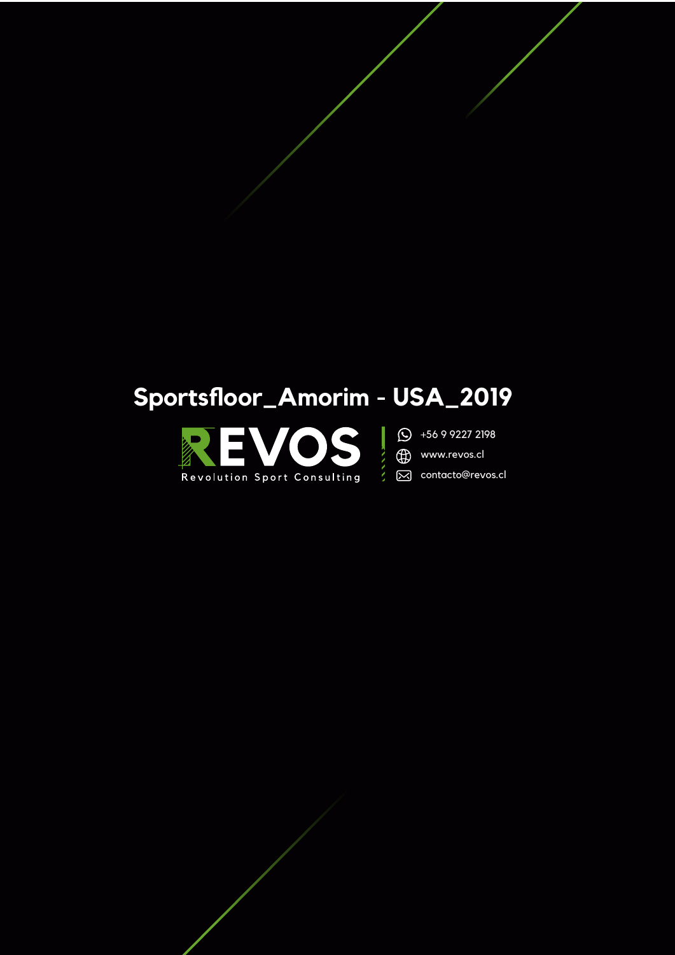# Sportsfloor\_Amorim - USA\_2019





(B) www.revos.cl

ζ

⊠ contacto@revos.cl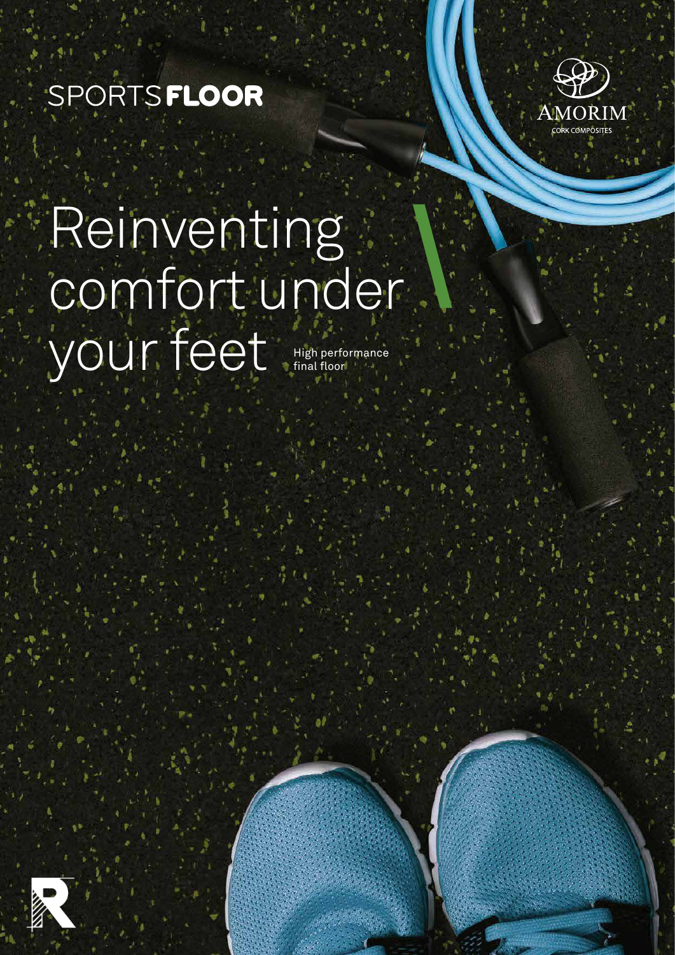# SPORTSFLOOR



## High performance final floor Reinventing comfort under your feet

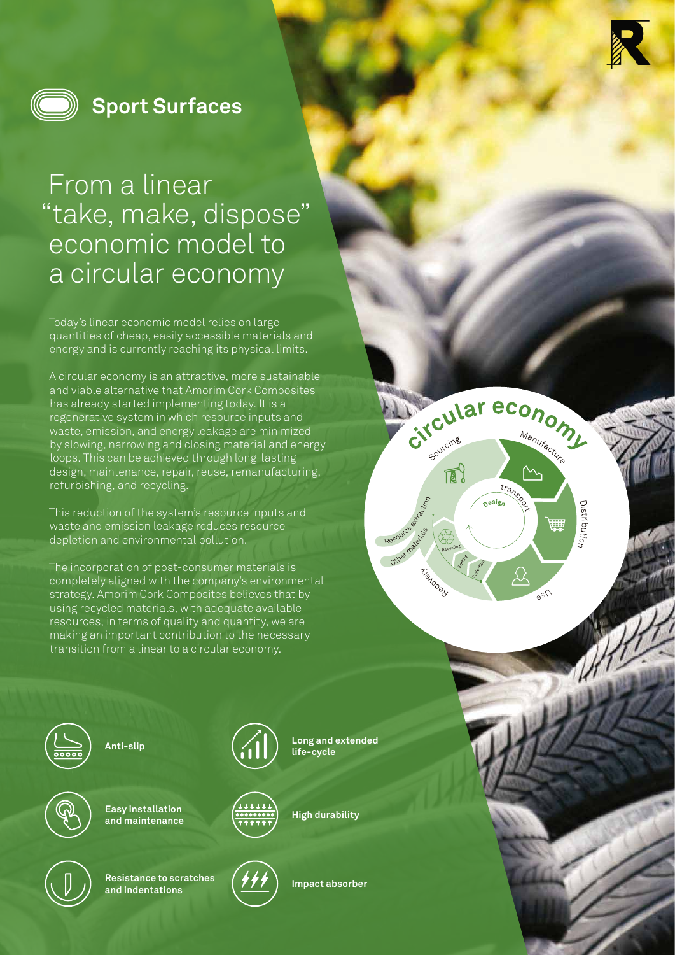

Gitcular economy

Oesign

trans

Sourcing

**Tuenosell** 

Resource de de Cricin

**Hes right** 

 $\mathbb{R}^2$ 

Manuracture

**Distribution** 

ШIJ

 $250$ 



### **Sport Surfaces**

## From a linear "take, make, dispose" economic model to a circular economy

Today's linear economic model relies on large quantities of cheap, easily accessible materials and energy and is currently reaching its physical limits.

A circular economy is an attractive, more sustainable and viable alternative that Amorim Cork Composites has already started implementing today. It is a regenerative system in which resource inputs and waste, emission, and energy leakage are minimized by slowing, narrowing and closing material and energy loops. This can be achieved through long-lasting design, maintenance, repair, reuse, remanufacturing, refurbishing, and recycling.

This reduction of the system's resource inputs and waste and emission leakage reduces resource depletion and environmental pollution.

The incorporation of post-consumer materials is completely aligned with the company's environmental strategy. Amorim Cork Composites believes that by using recycled materials, with adequate available resources, in terms of quality and quantity, we are making an important contribution to the necessary transition from a linear to a circular economy.



**Anti-slip**



**Easy installation and maintenance**



**Resistance to scratches and indentations**





**Long and extended**

**life-cycle**

**Impact absorber**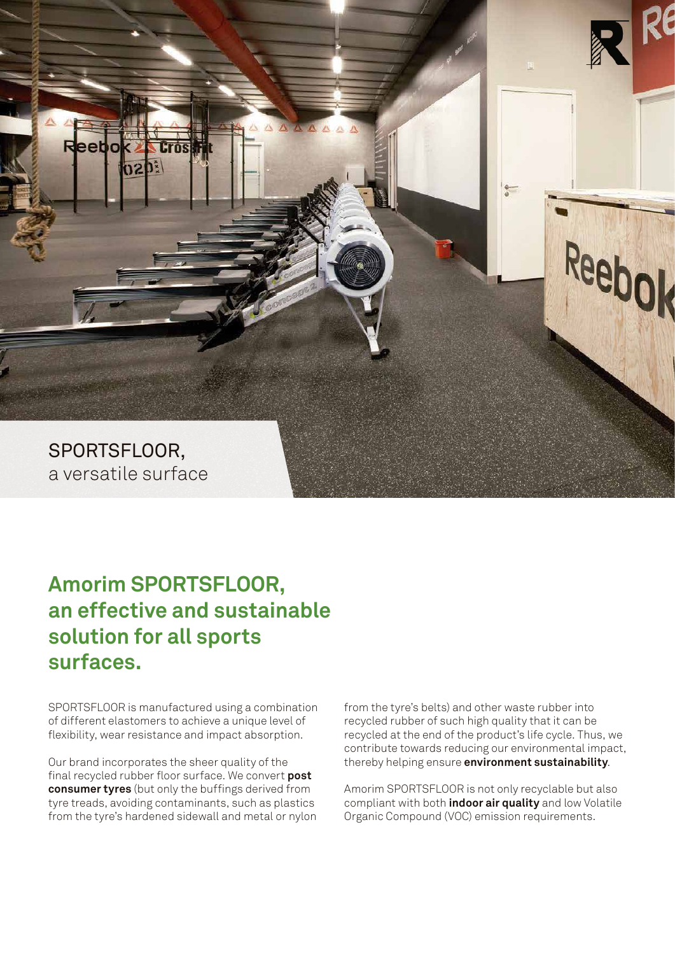

### **Amorim SPORTSFLOOR, an effective and sustainable solution for all sports surfaces.**

SPORTSFLOOR is manufactured using a combination of different elastomers to achieve a unique level of flexibility, wear resistance and impact absorption.

Our brand incorporates the sheer quality of the final recycled rubber floor surface. We convert **post consumer tyres** (but only the buffings derived from tyre treads, avoiding contaminants, such as plastics from the tyre's hardened sidewall and metal or nylon from the tyre's belts) and other waste rubber into recycled rubber of such high quality that it can be recycled at the end of the product's life cycle. Thus, we contribute towards reducing our environmental impact, thereby helping ensure **environment sustainability**.

Amorim SPORTSFLOOR is not only recyclable but also compliant with both **indoor air quality** and low Volatile Organic Compound (VOC) emission requirements.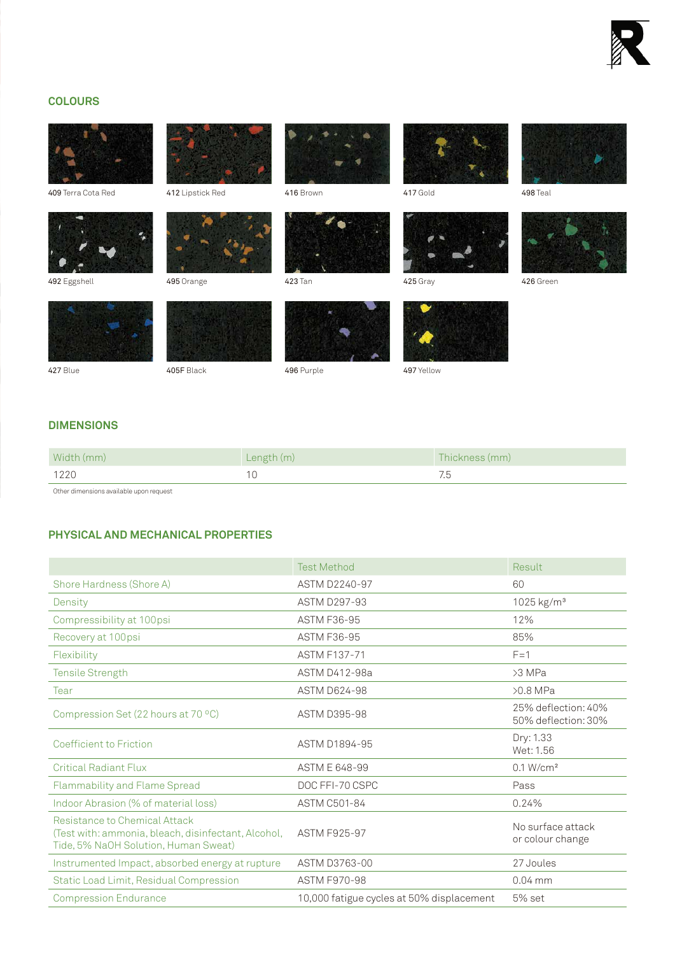![](_page_4_Picture_0.jpeg)

#### **COLOURS**

![](_page_4_Picture_2.jpeg)

**DIMENSIONS**

| Width (mm) | Length (m) | Thickness (mm) |
|------------|------------|----------------|
| 1220       |            |                |

Other dimensions available upon request

#### **PHYSICAL AND MECHANICAL PROPERTIES**

|                                                                                                                              | <b>Test Method</b>                        | Result                                     |
|------------------------------------------------------------------------------------------------------------------------------|-------------------------------------------|--------------------------------------------|
| Shore Hardness (Shore A)                                                                                                     | ASTM D2240-97                             | 60                                         |
| Density                                                                                                                      | <b>ASTM D297-93</b>                       | 1025 kg/m <sup>3</sup>                     |
| Compressibility at 100psi                                                                                                    | <b>ASTM F36-95</b>                        | 12%                                        |
| Recovery at 100psi                                                                                                           | <b>ASTM F36-95</b>                        | 85%                                        |
| Flexibility                                                                                                                  | <b>ASTM F137-71</b>                       | $F = 1$                                    |
| Tensile Strength                                                                                                             | ASTM D412-98a                             | $>3$ MPa                                   |
| Tear                                                                                                                         | <b>ASTM D624-98</b>                       | $>0.8$ MPa                                 |
| Compression Set (22 hours at 70 °C)                                                                                          | <b>ASTM D395-98</b>                       | 25% deflection: 40%<br>50% deflection: 30% |
| Coefficient to Friction                                                                                                      | ASTM D1894-95                             | Dry: 1.33<br>Wet: 1.56                     |
| <b>Critical Radiant Flux</b>                                                                                                 | ASTM E 648-99                             | 0.1 W/cm <sup>2</sup>                      |
| Flammability and Flame Spread                                                                                                | DOC FFI-70 CSPC                           | Pass                                       |
| Indoor Abrasion (% of material loss)                                                                                         | ASTM C501-84                              | 0.24%                                      |
| Resistance to Chemical Attack<br>(Test with: ammonia, bleach, disinfectant, Alcohol,<br>Tide, 5% NaOH Solution, Human Sweat) | <b>ASTM F925-97</b>                       | No surface attack<br>or colour change      |
| Instrumented Impact, absorbed energy at rupture                                                                              | ASTM D3763-00                             | 27 Joules                                  |
| Static Load Limit, Residual Compression                                                                                      | <b>ASTM F970-98</b>                       | $0.04$ mm                                  |
| <b>Compression Endurance</b>                                                                                                 | 10,000 fatigue cycles at 50% displacement | 5% set                                     |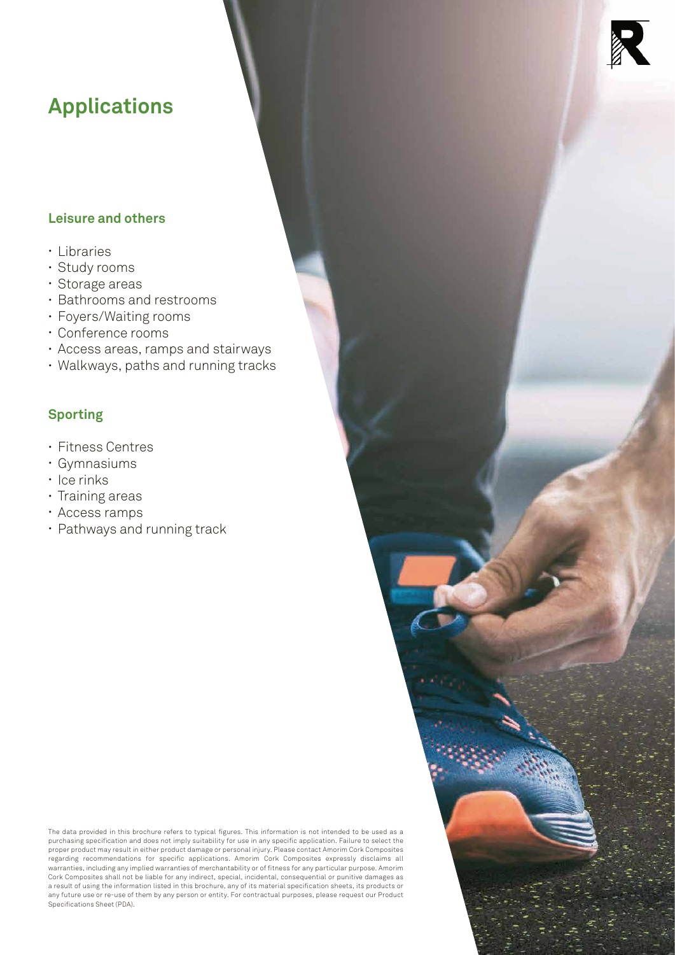### **Applications**

#### **Leisure and others**

- Libraries
- Study rooms
- Storage areas
- Bathrooms and restrooms
- Foyers/Waiting rooms
- Conference rooms
- Access areas, ramps and stairways
- Walkways, paths and running tracks

#### **Sporting**

- Fitness Centres
- Gymnasiums
- Ice rinks
- Training areas
- Access ramps
- Pathways and running track

The data provided in this brochure refers to typical figures. This information is not intended to be used as a<br>purchasing specification and does not imply suitability for use in any specific application. Failure to select regarding recommendations for specific applications. Amorim Cork Composites expressly disclaims all warranties, including any implied warranties of merchantability or of fitness for any particular purpose. Amorim Cork Composites shall not be liable for any indirect, special, incidental, consequential or punitive damages as a result of using the information listed in this brochure, any of its material specification sheets, its products or any future use or re-use of them by any person or entity. For contractual purposes, please request our Product Specifications Sheet (PDA).

![](_page_5_Picture_18.jpeg)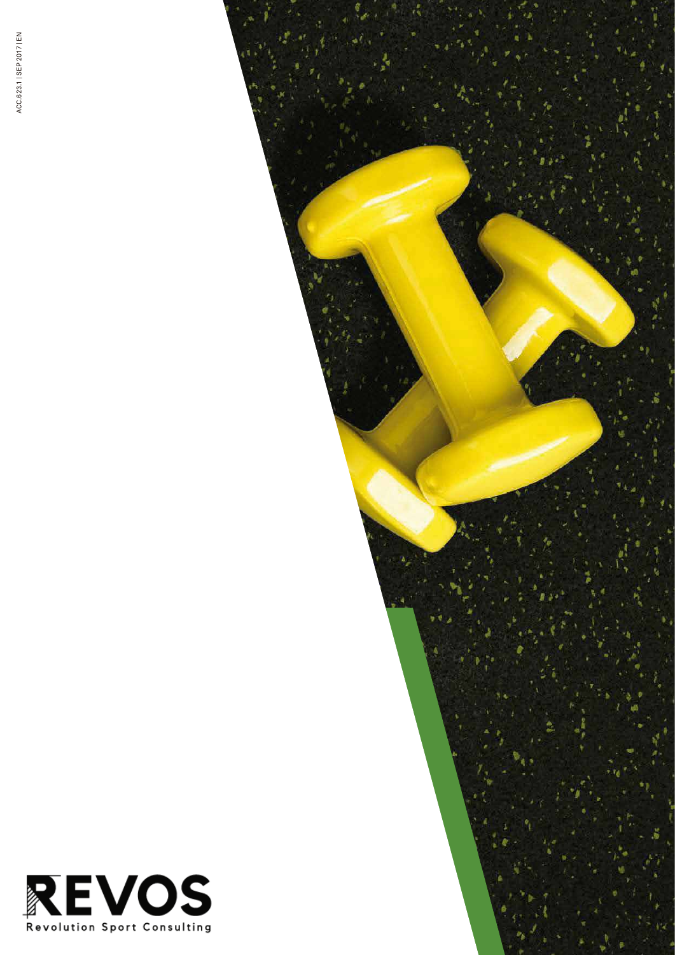![](_page_6_Picture_1.jpeg)